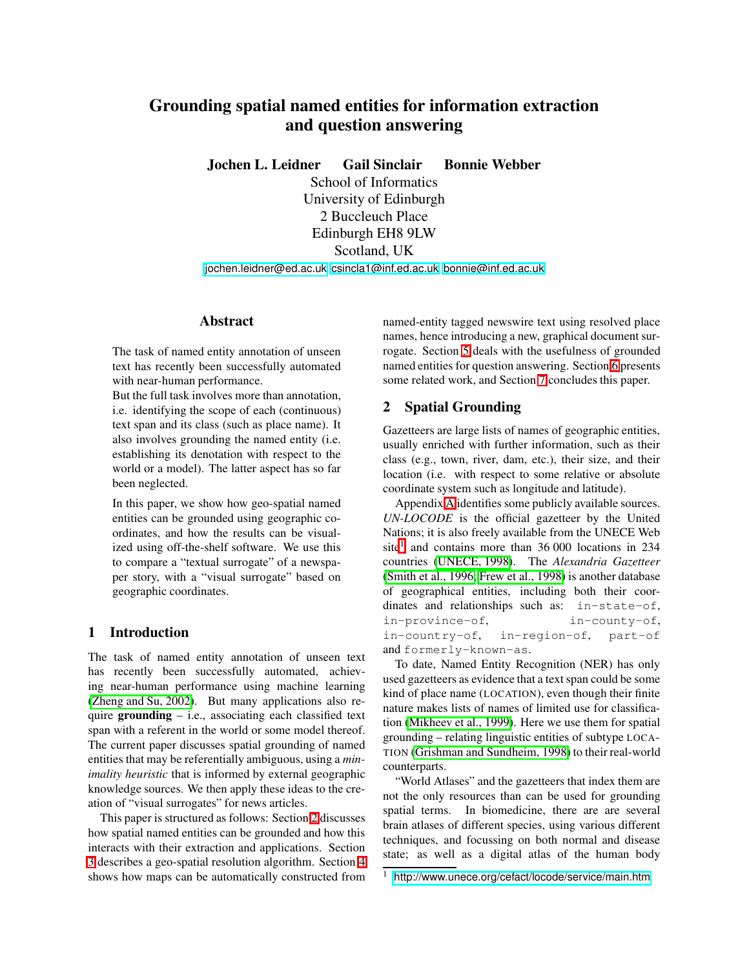# **Grounding spatial named entities for information extraction and question answering**

**Jochen L. Leidner Gail Sinclair Bonnie Webber**

School of Informatics University of Edinburgh 2 Buccleuch Place Edinburgh EH8 9LW Scotland, UK

[jochen.leidner@ed.ac.uk](mailto:jochen.leidner@ed.ac.uk), [csincla1@inf.ed.ac.uk](mailto:csincla1@inf.ed.ac.uk), [bonnie@inf.ed.ac.uk](mailto:bonnie@inf.ed.ac.uk)

#### **Abstract**

The task of named entity annotation of unseen text has recently been successfully automated with near-human performance.

But the full task involves more than annotation, i.e. identifying the scope of each (continuous) text span and its class (such as place name). It also involves grounding the named entity (i.e. establishing its denotation with respect to the world or a model). The latter aspect has so far been neglected.

In this paper, we show how geo-spatial named entities can be grounded using geographic coordinates, and how the results can be visualized using off-the-shelf software. We use this to compare a "textual surrogate" of a newspaper story, with a "visual surrogate" based on geographic coordinates.

# **1 Introduction**

The task of named entity annotation of unseen text has recently been successfully automated, achieving near-human performance using machine learning (Zheng and Su, 2002). But many applications also require **grounding** – i.e., associating each classified text span with a referent in the world or some model thereof. The current paper discusses spatial grounding of named entities that may be referentially ambiguous, using a *minimality heuristic* that is informed by external geographic knowledge sources. We then apply these ideas to the creation of "visual surrogates" for news articles.

This paper is structured as follows: Section [2](#page-0-0) discusses how spatial named entities can be grounded and how this interacts with their extraction and applications. Section [3](#page-1-0) describes a geo-spatial resolution algorithm. Section [4](#page-3-0) shows how maps can be automatically constructed from

named-entity tagged newswire text using resolved place names, hence introducing a new, graphical document surrogate. Section [5](#page-5-0) deals with the usefulness of grounded named entities for question answering. Section [6](#page-5-1) presents some related work, and Section [7](#page-5-2) concludes this paper.

## <span id="page-0-0"></span>**2 Spatial Grounding**

Gazetteers are large lists of names of geographic entities, usually enriched with further information, such as their class (e.g., town, river, dam, etc.), their size, and their location (i.e. with respect to some relative or absolute coordinate system such as longitude and latitude).

Appendix [A](#page-6-0) identifies some publicly available sources. *UN-LOCODE* is the official gazetteer by the United Nations; it is also freely available from the UNECE Web  $site<sup>1</sup>$  $site<sup>1</sup>$  $site<sup>1</sup>$  and contains more than 36 000 locations in 234 countries (UNECE, 1998). The *Alexandria Gazetteer* (Smith et al., 1996; Frew et al., 1998) is another database of geographical entities, including both their coordinates and relationships such as: in-state-of, in-province-of, in-county-of, in-country-of, in-region-of, part-of and formerly-known-as.

To date, Named Entity Recognition (NER) has only used gazetteers as evidence that a text span could be some kind of place name (LOCATION), even though their finite nature makes lists of names of limited use for classification (Mikheev et al., 1999). Here we use them for spatial grounding – relating linguistic entities of subtype LOCA-TION (Grishman and Sundheim, 1998) to their real-world counterparts.

"World Atlases" and the gazetteers that index them are not the only resources than can be used for grounding spatial terms. In biomedicine, there are are several brain atlases of different species, using various different techniques, and focussing on both normal and disease state; as well as a digital atlas of the human body

<span id="page-0-1"></span><sup>&</sup>lt;sup>1</sup> <http://www.unece.org/cefact/locode/service/main.htm>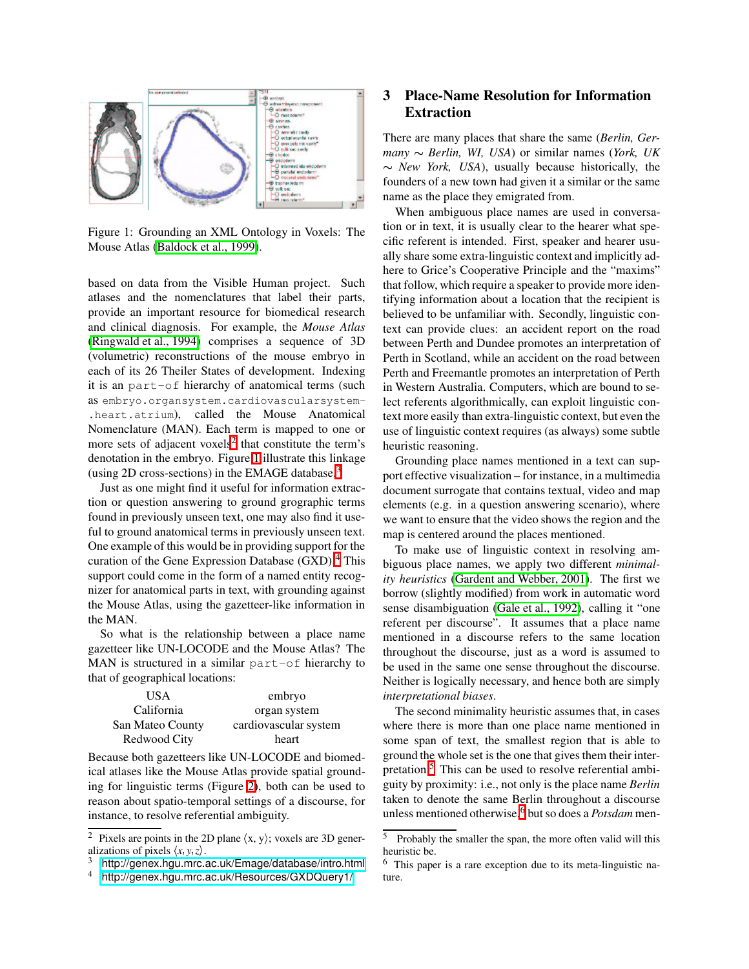

<span id="page-1-2"></span>Figure 1: Grounding an XML Ontology in Voxels: The Mouse Atlas (Baldock et al., 1999).

based on data from the Visible Human project. Such atlases and the nomenclatures that label their parts, provide an important resource for biomedical research and clinical diagnosis. For example, the *Mouse Atlas* (Ringwald et al., 1994) comprises a sequence of 3D (volumetric) reconstructions of the mouse embryo in each of its 26 Theiler States of development. Indexing it is an part-of hierarchy of anatomical terms (such as embryo.organsystem.cardiovascularsystem- .heart.atrium), called the Mouse Anatomical Nomenclature (MAN). Each term is mapped to one or more sets of adjacent voxels<sup>[2](#page-1-1)</sup> that constitute the term's denotation in the embryo. Figure [1](#page-1-2) illustrate this linkage (using 2D cross-sections) in the EMAGE database.[3](#page-1-3)

Just as one might find it useful for information extraction or question answering to ground grographic terms found in previously unseen text, one may also find it useful to ground anatomical terms in previously unseen text. One example of this would be in providing support for the curation of the Gene Expression Database (GXD).[4](#page-1-4) This support could come in the form of a named entity recognizer for anatomical parts in text, with grounding against the Mouse Atlas, using the gazetteer-like information in the MAN.

So what is the relationship between a place name gazetteer like UN-LOCODE and the Mouse Atlas? The MAN is structured in a similar part-of hierarchy to that of geographical locations:

| USA              | embryo                |  |
|------------------|-----------------------|--|
| California       | organ system          |  |
| San Mateo County | cardiovascular system |  |
| Redwood City     | heart                 |  |

Because both gazetteers like UN-LOCODE and biomedical atlases like the Mouse Atlas provide spatial grounding for linguistic terms (Figure [2\)](#page-2-0), both can be used to reason about spatio-temporal settings of a discourse, for instance, to resolve referential ambiguity.

# <span id="page-1-0"></span>**3 Place-Name Resolution for Information Extraction**

There are many places that share the same (*Berlin, Ger* $many \sim Berlin$ , *WI, USA*) or similar names (*York, UK*)  $\sim$  *New York, USA*), usually because historically, the founders of a new town had given it a similar or the same name as the place they emigrated from.

When ambiguous place names are used in conversation or in text, it is usually clear to the hearer what specific referent is intended. First, speaker and hearer usually share some extra-linguistic context and implicitly adhere to Grice's Cooperative Principle and the "maxims" that follow, which require a speaker to provide more identifying information about a location that the recipient is believed to be unfamiliar with. Secondly, linguistic context can provide clues: an accident report on the road between Perth and Dundee promotes an interpretation of Perth in Scotland, while an accident on the road between Perth and Freemantle promotes an interpretation of Perth in Western Australia. Computers, which are bound to select referents algorithmically, can exploit linguistic context more easily than extra-linguistic context, but even the use of linguistic context requires (as always) some subtle heuristic reasoning.

Grounding place names mentioned in a text can support effective visualization – for instance, in a multimedia document surrogate that contains textual, video and map elements (e.g. in a question answering scenario), where we want to ensure that the video shows the region and the map is centered around the places mentioned.

To make use of linguistic context in resolving ambiguous place names, we apply two different *minimality heuristics* (Gardent and Webber, 2001). The first we borrow (slightly modified) from work in automatic word sense disambiguation (Gale et al., 1992), calling it "one referent per discourse". It assumes that a place name mentioned in a discourse refers to the same location throughout the discourse, just as a word is assumed to be used in the same one sense throughout the discourse. Neither is logically necessary, and hence both are simply *interpretational biases*.

The second minimality heuristic assumes that, in cases where there is more than one place name mentioned in some span of text, the smallest region that is able to ground the whole set is the one that gives them their interpretation.[5](#page-1-5) This can be used to resolve referential ambiguity by proximity: i.e., not only is the place name *Berlin* taken to denote the same Berlin throughout a discourse unless mentioned otherwise,<sup>[6](#page-1-6)</sup> but so does a *Potsdam* men-

<span id="page-1-1"></span><sup>&</sup>lt;sup>2</sup> Pixels are points in the 2D plane  $\langle x, y \rangle$ ; voxels are 3D generalizations of pixels  $\langle x, y, z \rangle$ .

<span id="page-1-3"></span><sup>3</sup> <http://genex.hgu.mrc.ac.uk/Emage/database/intro.html>

<span id="page-1-4"></span><sup>4</sup> <http://genex.hgu.mrc.ac.uk/Resources/GXDQuery1/>

<span id="page-1-5"></span><sup>5</sup> Probably the smaller the span, the more often valid will this heuristic be.

<span id="page-1-6"></span><sup>6</sup> This paper is a rare exception due to its meta-linguistic nature.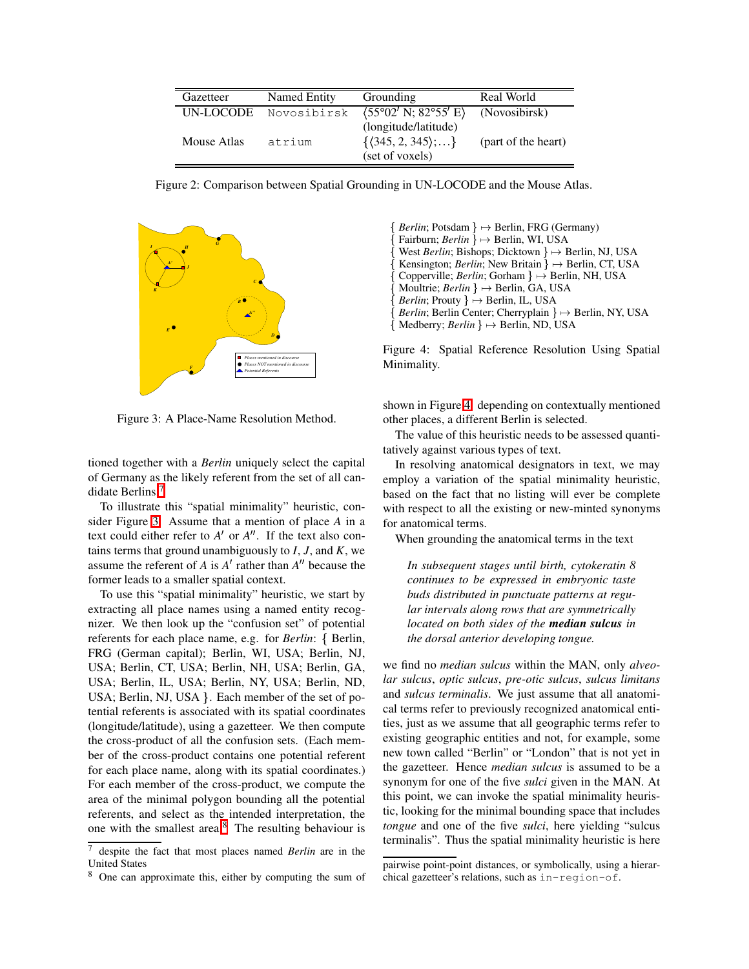| Gazetteer   | Named Entity | Grounding                                                                            | Real World          |
|-------------|--------------|--------------------------------------------------------------------------------------|---------------------|
| UN-LOCODE   | Novosibirsk  | $(55^{\circ}02' N; 82^{\circ}55' E)$                                                 | (Novosibirsk)       |
| Mouse Atlas | atrium       | (longitude/latitude)<br>$\{\langle 345, 2, 345 \rangle; \ldots\}$<br>(set of voxels) | (part of the heart) |

Figure 2: Comparison between Spatial Grounding in UN-LOCODE and the Mouse Atlas.

<span id="page-2-0"></span>

Figure 3: A Place-Name Resolution Method.

<span id="page-2-2"></span>tioned together with a *Berlin* uniquely select the capital of Germany as the likely referent from the set of all candidate Berlins.[7](#page-2-1)

To illustrate this "spatial minimality" heuristic, consider Figure [3:](#page-2-2) Assume that a mention of place *A* in a text could either refer to  $A'$  or  $A''$ . If the text also contains terms that ground unambiguously to  $I, J$ , and  $K$ , we assume the referent of  $A$  is  $A'$  rather than  $A''$  because the former leads to a smaller spatial context.

To use this "spatial minimality" heuristic, we start by extracting all place names using a named entity recognizer. We then look up the "confusion set" of potential referents for each place name, e.g. for *Berlin*: { Berlin, FRG (German capital); Berlin, WI, USA; Berlin, NJ, USA; Berlin, CT, USA; Berlin, NH, USA; Berlin, GA, USA; Berlin, IL, USA; Berlin, NY, USA; Berlin, ND, USA; Berlin, NJ, USA  $\}$ . Each member of the set of potential referents is associated with its spatial coordinates (longitude/latitude), using a gazetteer. We then compute the cross-product of all the confusion sets. (Each member of the cross-product contains one potential referent for each place name, along with its spatial coordinates.) For each member of the cross-product, we compute the area of the minimal polygon bounding all the potential referents, and select as the intended interpretation, the one with the smallest area.[8](#page-2-3) The resulting behaviour is  $\{$  *Berlin*; Potsdam  $\} \rightarrow$  Berlin, FRG (Germany)  $\{$  Fairburn; *Berlin*  $\} \rightarrow$  Berlin, WI, USA  $\{ West Berlin; Bishops; Dicktown\} \mapsto Berlin, NJ, USA$  ${Kensington; Berlin; New Britain } \rightarrow Berlin, CT, USA$ { Copperville; *Berlin*; Gorham }  $\rightarrow$  Berlin, NH, USA  ${$ *Moultrie; Berlin*  $} \rightarrow$  Berlin, GA, USA  ${Berlin; Prouty } \rightarrow Berlin, IL, USA$  $\{$  *Berlin*; Berlin Center; Cherryplain  $\} \rightarrow$  Berlin, NY, USA  ${$ Medberry; *Berlin*  $} \rightarrow$  Berlin, ND, USA

<span id="page-2-4"></span>Figure 4: Spatial Reference Resolution Using Spatial Minimality.

shown in Figure [4:](#page-2-4) depending on contextually mentioned other places, a different Berlin is selected.

The value of this heuristic needs to be assessed quantitatively against various types of text.

In resolving anatomical designators in text, we may employ a variation of the spatial minimality heuristic, based on the fact that no listing will ever be complete with respect to all the existing or new-minted synonyms for anatomical terms.

When grounding the anatomical terms in the text

*In subsequent stages until birth, cytokeratin 8 continues to be expressed in embryonic taste buds distributed in punctuate patterns at regular intervals along rows that are symmetrically located on both sides of the median sulcus in the dorsal anterior developing tongue.*

we find no *median sulcus* within the MAN, only *alveolar sulcus*, *optic sulcus*, *pre-otic sulcus*, *sulcus limitans* and *sulcus terminalis*. We just assume that all anatomical terms refer to previously recognized anatomical entities, just as we assume that all geographic terms refer to existing geographic entities and not, for example, some new town called "Berlin" or "London" that is not yet in the gazetteer. Hence *median sulcus* is assumed to be a synonym for one of the five *sulci* given in the MAN. At this point, we can invoke the spatial minimality heuristic, looking for the minimal bounding space that includes *tongue* and one of the five *sulci*, here yielding "sulcus terminalis". Thus the spatial minimality heuristic is here

<span id="page-2-1"></span><sup>7</sup> despite the fact that most places named *Berlin* are in the United States

<span id="page-2-3"></span><sup>8</sup> One can approximate this, either by computing the sum of

pairwise point-point distances, or symbolically, using a hierarchical gazetteer's relations, such as in-region-of.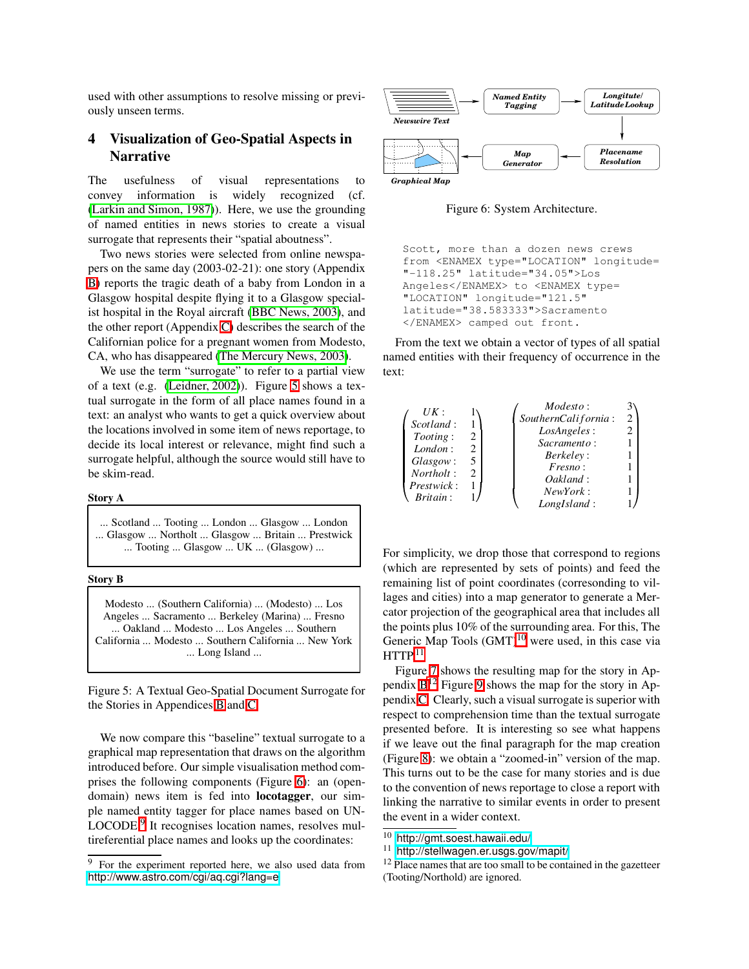used with other assumptions to resolve missing or previously unseen terms.

## <span id="page-3-0"></span>**4 Visualization of Geo-Spatial Aspects in Narrative**

The usefulness of visual representations to convey information is widely recognized (cf. (Larkin and Simon, 1987)). Here, we use the grounding of named entities in news stories to create a visual surrogate that represents their "spatial aboutness".

Two news stories were selected from online newspapers on the same day (2003-02-21): one story (Appendix [B\)](#page-7-0) reports the tragic death of a baby from London in a Glasgow hospital despite flying it to a Glasgow specialist hospital in the Royal aircraft (BBC News, 2003), and the other report (Appendix [C\)](#page-7-1) describes the search of the Californian police for a pregnant women from Modesto, CA, who has disappeared (The Mercury News, 2003).

We use the term "surrogate" to refer to a partial view of a text (e.g. (Leidner, 2002)). Figure [5](#page-3-1) shows a textual surrogate in the form of all place names found in a text: an analyst who wants to get a quick overview about the locations involved in some item of news reportage, to decide its local interest or relevance, might find such a surrogate helpful, although the source would still have to be skim-read.

#### **Story A**

... Scotland ... Tooting ... London ... Glasgow ... London ... Glasgow ... Northolt ... Glasgow ... Britain ... Prestwick ... Tooting ... Glasgow ... UK ... (Glasgow) ...

#### **Story B**

Modesto ... (Southern California) ... (Modesto) ... Los Angeles ... Sacramento ... Berkeley (Marina) ... Fresno ... Oakland ... Modesto ... Los Angeles ... Southern California ... Modesto ... Southern California ... New York ... Long Island ...

<span id="page-3-1"></span>Figure 5: A Textual Geo-Spatial Document Surrogate for the Stories in Appendices [B](#page-7-0) and [C.](#page-7-1)

We now compare this "baseline" textual surrogate to a graphical map representation that draws on the algorithm introduced before. Our simple visualisation method comprises the following components (Figure [6\)](#page-3-2): an (opendomain) news item is fed into **locotagger**, our simple named entity tagger for place names based on UN-LOCODE.<sup>[9](#page-3-3)</sup> It recognises location names, resolves multireferential place names and looks up the coordinates:



Figure 6: System Architecture.

<span id="page-3-2"></span>Scott, more than a dozen news crews from <ENAMEX type="LOCATION" longitude= "-118.25" latitude="34.05">Los Angeles</ENAMEX> to <ENAMEX type= "LOCATION" longitude="121.5" latitude="38.583333">Sacramento </ENAMEX> camped out front.

From the text we obtain a vector of types of all spatial named entities with their frequency of occurrence in the text:

|                  |                               | $\n  Models to :$   |   |
|------------------|-------------------------------|---------------------|---|
| UK:              |                               | SouthernCalifornia: | 2 |
| Scotland:        |                               | LosAngeles:         |   |
| <i>Tooting</i> : | 2                             | Sacramento:         |   |
| London:          | 2                             | <i>Berkeley:</i>    |   |
| $Gl$ asgow:      | 5                             | <i>Fresno</i> :     |   |
| Northolt:        | $\mathfrak{D}_{\mathfrak{p}}$ | Oakland:            |   |
| Prestwick:       |                               | NewYork:            |   |
| Britain:         |                               | LongIsland:         |   |

For simplicity, we drop those that correspond to regions (which are represented by sets of points) and feed the remaining list of point coordinates (corresonding to villages and cities) into a map generator to generate a Mercator projection of the geographical area that includes all the points plus 10% of the surrounding area. For this, The Generic Map Tools  $(GMT)^{10}$  $(GMT)^{10}$  $(GMT)^{10}$  were used, in this case via  $\rm HTTP.^{11}$  $\rm HTTP.^{11}$  $\rm HTTP.^{11}$ 

Figure [7](#page-4-0) shows the resulting map for the story in Appendix  $B^{12}$  $B^{12}$  $B^{12}$  $B^{12}$  Figure [9](#page-4-1) shows the map for the story in Appendix [C.](#page-7-1) Clearly, such a visual surrogate is superior with respect to comprehension time than the textual surrogate presented before. It is interesting so see what happens if we leave out the final paragraph for the map creation (Figure [8\)](#page-4-2): we obtain a "zoomed-in" version of the map. This turns out to be the case for many stories and is due to the convention of news reportage to close a report with linking the narrative to similar events in order to present the event in a wider context.

<span id="page-3-3"></span><sup>9</sup> For the experiment reported here, we also used data from <http://www.astro.com/cgi/aq.cgi?lang=e>.

<span id="page-3-4"></span><sup>10</sup> <http://gmt.soest.hawaii.edu/>

<span id="page-3-5"></span><sup>11</sup> <http://stellwagen.er.usgs.gov/mapit/>

<span id="page-3-6"></span><sup>&</sup>lt;sup>12</sup> Place names that are too small to be contained in the gazetteer (Tooting/Northold) are ignored.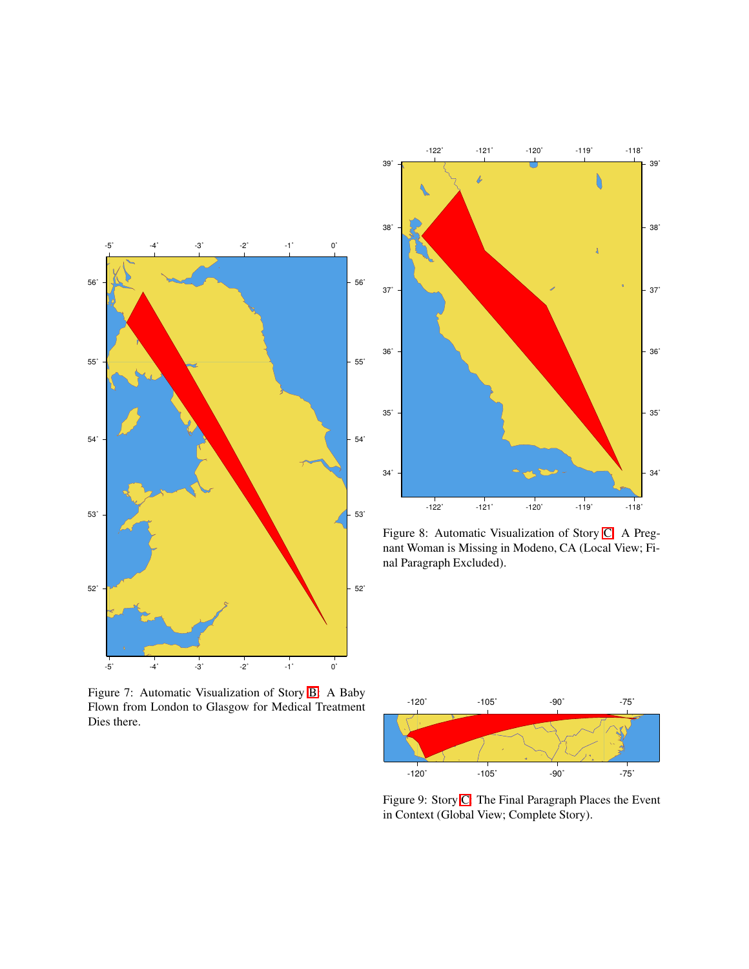

<span id="page-4-0"></span>Figure 7: Automatic Visualization of Story [B:](#page-7-0) A Baby Flown from London to Glasgow for Medical Treatment Dies there.



<span id="page-4-2"></span>Figure 8: Automatic Visualization of Story [C:](#page-7-1) A Pregnant Woman is Missing in Modeno, CA (Local View; Final Paragraph Excluded).



<span id="page-4-1"></span>Figure 9: Story [C:](#page-7-1) The Final Paragraph Places the Event in Context (Global View; Complete Story).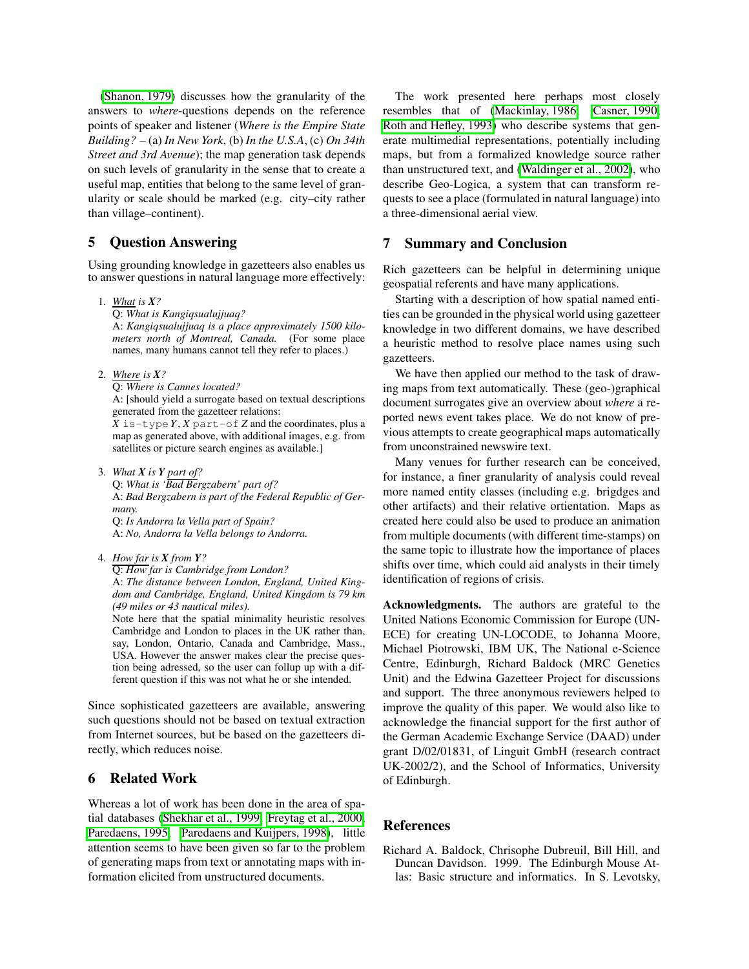(Shanon, 1979) discusses how the granularity of the answers to *where*-questions depends on the reference points of speaker and listener (*Where is the Empire State Building?* – (a) *In New York*, (b) *In the U.S.A*, (c) *On 34th Street and 3rd Avenue*); the map generation task depends on such levels of granularity in the sense that to create a useful map, entities that belong to the same level of granularity or scale should be marked (e.g. city–city rather than village–continent).

## <span id="page-5-0"></span>**5 Question Answering**

Using grounding knowledge in gazetteers also enables us to answer questions in natural language more effectively:

1. *What is X?*

Q: *What is Kangiqsualujjuaq?*

A: *Kangiqsualujjuaq is a place approximately 1500 kilometers north of Montreal, Canada.* (For some place names, many humans cannot tell they refer to places.)

- 2. *Where is X?*
	- Q: *Where is Cannes located?*

A: [should yield a surrogate based on textual descriptions generated from the gazetteer relations:

*X* is-type*Y*, *X* part-of *Z* and the coordinates, plus a map as generated above, with additional images, e.g. from satellites or picture search engines as available.]

3. *What X is Y part of?*

Q: *What is 'Bad Bergzabern' part of?* A: *Bad Bergzabern is part of the Federal Republic of Germany.*

Q: *Is Andorra la Vella part of Spain?* A: *No, Andorra la Vella belongs to Andorra.*

4. *How far is X from Y?*

Q: *How far is Cambridge from London?*

A: *The distance between London, England, United Kingdom and Cambridge, England, United Kingdom is 79 km (49 miles or 43 nautical miles).*

Note here that the spatial minimality heuristic resolves Cambridge and London to places in the UK rather than, say, London, Ontario, Canada and Cambridge, Mass., USA. However the answer makes clear the precise question being adressed, so the user can follup up with a different question if this was not what he or she intended.

Since sophisticated gazetteers are available, answering such questions should not be based on textual extraction from Internet sources, but be based on the gazetteers directly, which reduces noise.

# <span id="page-5-1"></span>**6 Related Work**

Whereas a lot of work has been done in the area of spatial databases (Shekhar et al., 1999; Freytag et al., 2000; Paredaens, 1995; Paredaens and Kuijpers, 1998), little attention seems to have been given so far to the problem of generating maps from text or annotating maps with information elicited from unstructured documents.

The work presented here perhaps most closely resembles that of (Mackinlay, 1986; Casner, 1990; Roth and Hefley, 1993) who describe systems that generate multimedial representations, potentially including maps, but from a formalized knowledge source rather than unstructured text, and (Waldinger et al., 2002), who describe Geo-Logica, a system that can transform requests to see a place (formulated in natural language) into a three-dimensional aerial view.

## <span id="page-5-2"></span>**7 Summary and Conclusion**

Rich gazetteers can be helpful in determining unique geospatial referents and have many applications.

Starting with a description of how spatial named entities can be grounded in the physical world using gazetteer knowledge in two different domains, we have described a heuristic method to resolve place names using such gazetteers.

We have then applied our method to the task of drawing maps from text automatically. These (geo-)graphical document surrogates give an overview about *where* a reported news event takes place. We do not know of previous attempts to create geographical maps automatically from unconstrained newswire text.

Many venues for further research can be conceived, for instance, a finer granularity of analysis could reveal more named entity classes (including e.g. brigdges and other artifacts) and their relative ortientation. Maps as created here could also be used to produce an animation from multiple documents (with different time-stamps) on the same topic to illustrate how the importance of places shifts over time, which could aid analysts in their timely identification of regions of crisis.

**Acknowledgments.** The authors are grateful to the United Nations Economic Commission for Europe (UN-ECE) for creating UN-LOCODE, to Johanna Moore, Michael Piotrowski, IBM UK, The National e-Science Centre, Edinburgh, Richard Baldock (MRC Genetics Unit) and the Edwina Gazetteer Project for discussions and support. The three anonymous reviewers helped to improve the quality of this paper. We would also like to acknowledge the financial support for the first author of the German Academic Exchange Service (DAAD) under grant D/02/01831, of Linguit GmbH (research contract UK-2002/2), and the School of Informatics, University of Edinburgh.

# **References**

Richard A. Baldock, Chrisophe Dubreuil, Bill Hill, and Duncan Davidson. 1999. The Edinburgh Mouse Atlas: Basic structure and informatics. In S. Levotsky,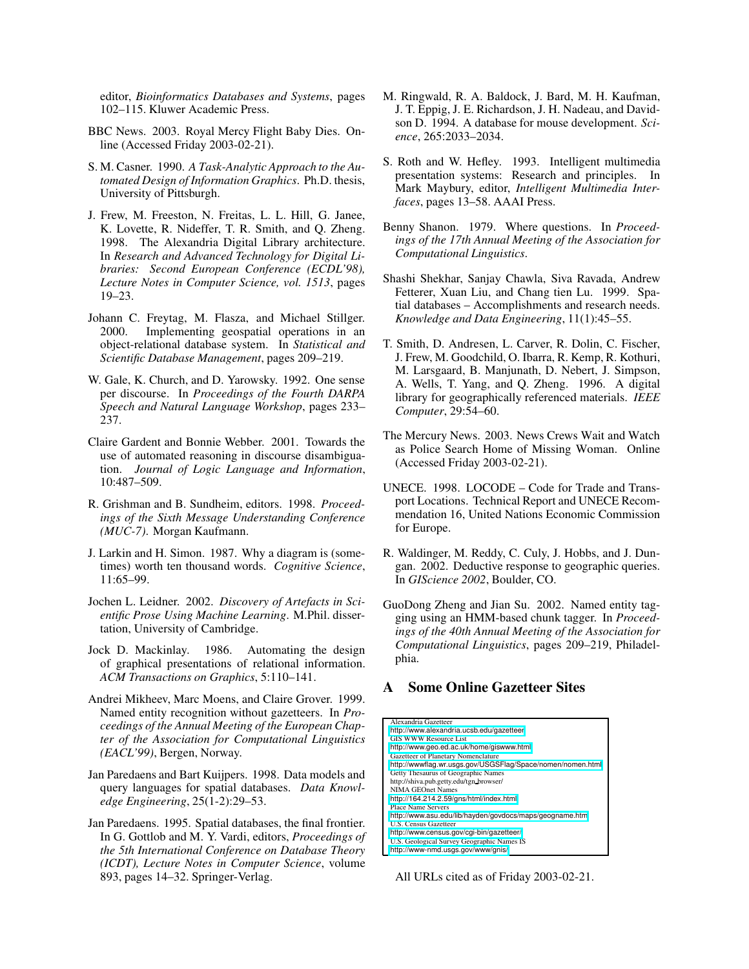editor, *Bioinformatics Databases and Systems*, pages 102–115. Kluwer Academic Press.

- BBC News. 2003. Royal Mercy Flight Baby Dies. Online (Accessed Friday 2003-02-21).
- S. M. Casner. 1990. *A Task-Analytic Approach to the Automated Design of Information Graphics*. Ph.D. thesis, University of Pittsburgh.
- J. Frew, M. Freeston, N. Freitas, L. L. Hill, G. Janee, K. Lovette, R. Nideffer, T. R. Smith, and Q. Zheng. 1998. The Alexandria Digital Library architecture. In *Research and Advanced Technology for Digital Libraries: Second European Conference (ECDL'98), Lecture Notes in Computer Science, vol. 1513*, pages 19–23.
- Johann C. Freytag, M. Flasza, and Michael Stillger. 2000. Implementing geospatial operations in an object-relational database system. In *Statistical and Scientific Database Management*, pages 209–219.
- W. Gale, K. Church, and D. Yarowsky. 1992. One sense per discourse. In *Proceedings of the Fourth DARPA Speech and Natural Language Workshop*, pages 233– 237.
- Claire Gardent and Bonnie Webber. 2001. Towards the use of automated reasoning in discourse disambiguation. *Journal of Logic Language and Information*, 10:487–509.
- R. Grishman and B. Sundheim, editors. 1998. *Proceedings of the Sixth Message Understanding Conference (MUC-7)*. Morgan Kaufmann.
- J. Larkin and H. Simon. 1987. Why a diagram is (sometimes) worth ten thousand words. *Cognitive Science*, 11:65–99.
- Jochen L. Leidner. 2002. *Discovery of Artefacts in Scientific Prose Using Machine Learning*. M.Phil. dissertation, University of Cambridge.
- Jock D. Mackinlay. 1986. Automating the design of graphical presentations of relational information. *ACM Transactions on Graphics*, 5:110–141.
- Andrei Mikheev, Marc Moens, and Claire Grover. 1999. Named entity recognition without gazetteers. In *Proceedings of the Annual Meeting of the European Chapter of the Association for Computational Linguistics (EACL'99)*, Bergen, Norway.
- Jan Paredaens and Bart Kuijpers. 1998. Data models and query languages for spatial databases. *Data Knowledge Engineering*, 25(1-2):29–53.
- Jan Paredaens. 1995. Spatial databases, the final frontier. In G. Gottlob and M. Y. Vardi, editors, *Proceedings of the 5th International Conference on Database Theory (ICDT), Lecture Notes in Computer Science*, volume 893, pages 14–32. Springer-Verlag.
- M. Ringwald, R. A. Baldock, J. Bard, M. H. Kaufman, J. T. Eppig, J. E. Richardson, J. H. Nadeau, and Davidson D. 1994. A database for mouse development. *Science*, 265:2033–2034.
- S. Roth and W. Hefley. 1993. Intelligent multimedia presentation systems: Research and principles. In Mark Maybury, editor, *Intelligent Multimedia Interfaces*, pages 13–58. AAAI Press.
- Benny Shanon. 1979. Where questions. In *Proceedings of the 17th Annual Meeting of the Association for Computational Linguistics*.
- Shashi Shekhar, Sanjay Chawla, Siva Ravada, Andrew Fetterer, Xuan Liu, and Chang tien Lu. 1999. Spatial databases – Accomplishments and research needs. *Knowledge and Data Engineering*, 11(1):45–55.
- T. Smith, D. Andresen, L. Carver, R. Dolin, C. Fischer, J. Frew, M. Goodchild, O. Ibarra, R. Kemp, R. Kothuri, M. Larsgaard, B. Manjunath, D. Nebert, J. Simpson, A. Wells, T. Yang, and Q. Zheng. 1996. A digital library for geographically referenced materials. *IEEE Computer*, 29:54–60.
- The Mercury News. 2003. News Crews Wait and Watch as Police Search Home of Missing Woman. Online (Accessed Friday 2003-02-21).
- UNECE. 1998. LOCODE Code for Trade and Transport Locations. Technical Report and UNECE Recommendation 16, United Nations Economic Commission for Europe.
- R. Waldinger, M. Reddy, C. Culy, J. Hobbs, and J. Dungan. 2002. Deductive response to geographic queries. In *GIScience 2002*, Boulder, CO.
- GuoDong Zheng and Jian Su. 2002. Named entity tagging using an HMM-based chunk tagger. In *Proceedings of the 40th Annual Meeting of the Association for Computational Linguistics*, pages 209–219, Philadelphia.

#### <span id="page-6-0"></span>**A Some Online Gazetteer Sites**

| Alexandria Gazetteer                                       |
|------------------------------------------------------------|
| http://www.alexandria.ucsb.edu/gazetteer                   |
| <b>GIS WWW Resource List</b>                               |
| http://www.geo.ed.ac.uk/home/giswww.html                   |
| Gazetteer of Planetary Nomenclature                        |
| http://wwwflag.wr.usgs.gov/USGSFlag/Space/nomen/nomen.html |
| Getty Thesaurus of Geographic Names                        |
| http://shiva.pub.getty.edu/tgn_browser/                    |
| <b>NIMA GEOnet Names</b>                                   |
| http://164.214.2.59/gns/html/index.html                    |
| <b>Place Name Servers</b>                                  |
| http://www.asu.edu/lib/hayden/govdocs/maps/geogname.htm    |
| <b>U.S. Census Gazetteer</b>                               |
| http://www.census.gov/cgi-bin/gazetteer/                   |
| U.S. Geological Survey Geographic Names IS                 |
| http://www-nmd.usgs.gov/www/gnis/                          |

All URLs cited as of Friday 2003-02-21.